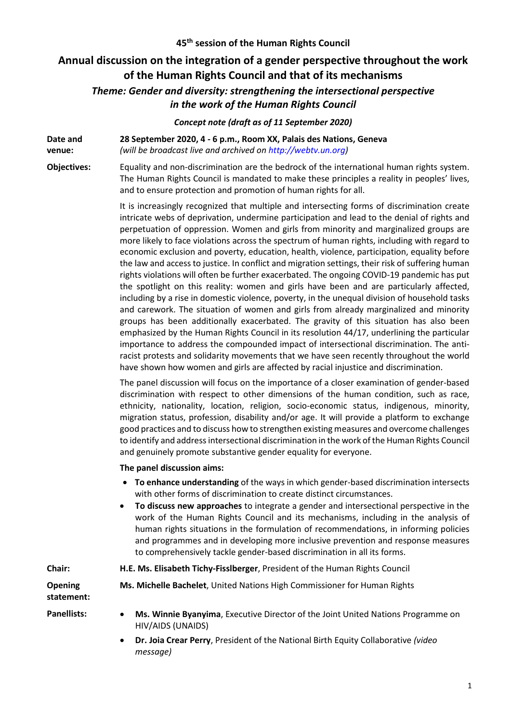# **Annual discussion on the integration of a gender perspective throughout the work of the Human Rights Council and that of its mechanisms**

## *Theme: Gender and diversity: strengthening the intersectional perspective in the work of the Human Rights Council*

### *Concept note (draft as of 11 September 2020)*

**Date and venue: 28 September 2020, 4 - 6 p.m., Room XX, Palais des Nations, Geneva** *(will be broadcast live and archived on [http://webtv.un.org\)](http://webtv.un.org/)*

**Objectives:** Equality and non-discrimination are the bedrock of the international human rights system. The Human Rights Council is mandated to make these principles a reality in peoples' lives, and to ensure protection and promotion of human rights for all.

> It is increasingly recognized that multiple and intersecting forms of discrimination create intricate webs of deprivation, undermine participation and lead to the denial of rights and perpetuation of oppression. Women and girls from minority and marginalized groups are more likely to face violations across the spectrum of human rights, including with regard to economic exclusion and poverty, education, health, violence, participation, equality before the law and access to justice. In conflict and migration settings, their risk of suffering human rights violations will often be further exacerbated. The ongoing COVID-19 pandemic has put the spotlight on this reality: women and girls have been and are particularly affected, including by a rise in domestic violence, poverty, in the unequal division of household tasks and carework. The situation of women and girls from already marginalized and minority groups has been additionally exacerbated. The gravity of this situation has also been emphasized by the Human Rights Council in its resolution 44/17, underlining the particular importance to address the compounded impact of intersectional discrimination. The antiracist protests and solidarity movements that we have seen recently throughout the world have shown how women and girls are affected by racial injustice and discrimination.

> The panel discussion will focus on the importance of a closer examination of gender-based discrimination with respect to other dimensions of the human condition, such as race, ethnicity, nationality, location, religion, socio-economic status, indigenous, minority, migration status, profession, disability and/or age. It will provide a platform to exchange good practices and to discuss how to strengthen existing measures and overcome challenges to identify and address intersectional discrimination in the work of the Human Rights Council and genuinely promote substantive gender equality for everyone.

#### **The panel discussion aims:**

- **To enhance understanding** of the ways in which gender-based discrimination intersects with other forms of discrimination to create distinct circumstances.
- **To discuss new approaches** to integrate a gender and intersectional perspective in the work of the Human Rights Council and its mechanisms, including in the analysis of human rights situations in the formulation of recommendations, in informing policies and programmes and in developing more inclusive prevention and response measures to comprehensively tackle gender-based discrimination in all its forms.

| Chair:                       | H.E. Ms. Elisabeth Tichy-Fissiberger, President of the Human Rights Council                           |
|------------------------------|-------------------------------------------------------------------------------------------------------|
| <b>Opening</b><br>statement: | Ms. Michelle Bachelet, United Nations High Commissioner for Human Rights                              |
| <b>Panellists:</b>           | Ms. Winnie Byanyima, Executive Director of the Joint United Nations Programme on<br>HIV/AIDS (UNAIDS) |
|                              | <b>Dr. Join Crear Borny, Brosidant of the National Birth Equity Collaborative (video)</b>             |

• **Dr. Joia Crear Perry**, President of the National Birth Equity Collaborative *(video message)*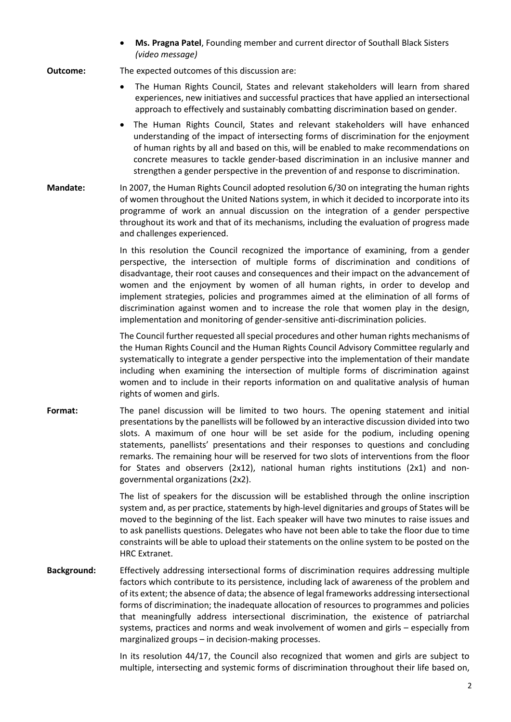• **Ms. Pragna Patel**, Founding member and current director of Southall Black Sisters *(video message)*

#### **Outcome:** The expected outcomes of this discussion are:

- The Human Rights Council, States and relevant stakeholders will learn from shared experiences, new initiatives and successful practices that have applied an intersectional approach to effectively and sustainably combatting discrimination based on gender.
- The Human Rights Council, States and relevant stakeholders will have enhanced understanding of the impact of intersecting forms of discrimination for the enjoyment of human rights by all and based on this, will be enabled to make recommendations on concrete measures to tackle gender-based discrimination in an inclusive manner and strengthen a gender perspective in the prevention of and response to discrimination.
- **Mandate:** In 2007, the Human Rights Council adopte[d resolution 6/30](http://ap.ohchr.org/Documents/E/HRC/resolutions/A_HRC_RES_6_30.pdf) on integrating the human rights of women throughout the United Nations system, in which it decided to incorporate into its programme of work an annual discussion on the integration of a gender perspective throughout its work and that of its mechanisms, including the evaluation of progress made and challenges experienced.

In this resolution the Council recognized the importance of examining, from a gender perspective, the intersection of multiple forms of discrimination and conditions of disadvantage, their root causes and consequences and their impact on the advancement of women and the enjoyment by women of all human rights, in order to develop and implement strategies, policies and programmes aimed at the elimination of all forms of discrimination against women and to increase the role that women play in the design, implementation and monitoring of gender-sensitive anti-discrimination policies.

The Council further requested all special procedures and other human rights mechanisms of the Human Rights Council and the Human Rights Council Advisory Committee regularly and systematically to integrate a gender perspective into the implementation of their mandate including when examining the intersection of multiple forms of discrimination against women and to include in their reports information on and qualitative analysis of human rights of women and girls.

Format: The panel discussion will be limited to two hours. The opening statement and initial presentations by the panellists will be followed by an interactive discussion divided into two slots. A maximum of one hour will be set aside for the podium, including opening statements, panellists' presentations and their responses to questions and concluding remarks. The remaining hour will be reserved for two slots of interventions from the floor for States and observers (2x12), national human rights institutions (2x1) and nongovernmental organizations (2x2).

> The list of speakers for the discussion will be established through the online inscription system and, as per practice, statements by high-level dignitaries and groups of States will be moved to the beginning of the list. Each speaker will have two minutes to raise issues and to ask panellists questions. Delegates who have not been able to take the floor due to time constraints will be able to upload their statements on the online system to be posted on the HRC Extranet.

**Background:** Effectively addressing intersectional forms of discrimination requires addressing multiple factors which contribute to its persistence, including lack of awareness of the problem and of its extent; the absence of data; the absence of legal frameworks addressing intersectional forms of discrimination; the inadequate allocation of resources to programmes and policies that meaningfully address intersectional discrimination, the existence of patriarchal systems, practices and norms and weak involvement of women and girls – especially from marginalized groups – in decision-making processes.

> In its resolution 44/17, the Council also recognized that women and girls are subject to multiple, intersecting and systemic forms of discrimination throughout their life based on,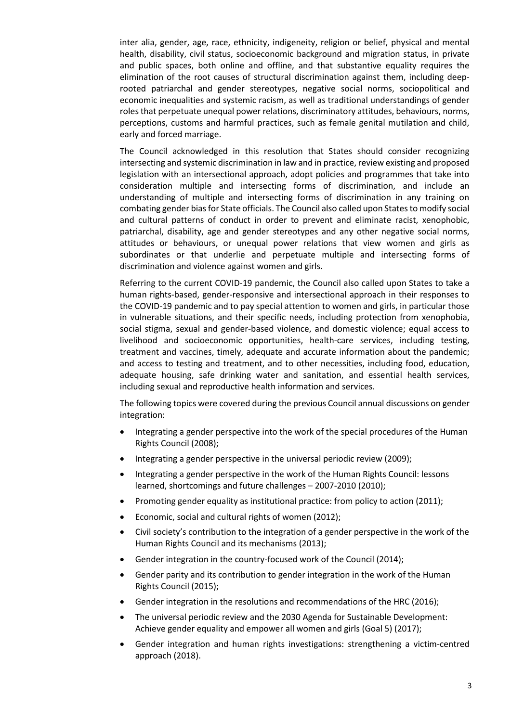inter alia, gender, age, race, ethnicity, indigeneity, religion or belief, physical and mental health, disability, civil status, socioeconomic background and migration status, in private and public spaces, both online and offline, and that substantive equality requires the elimination of the root causes of structural discrimination against them, including deeprooted patriarchal and gender stereotypes, negative social norms, sociopolitical and economic inequalities and systemic racism, as well as traditional understandings of gender roles that perpetuate unequal power relations, discriminatory attitudes, behaviours, norms, perceptions, customs and harmful practices, such as female genital mutilation and child, early and forced marriage.

The Council acknowledged in this resolution that States should consider recognizing intersecting and systemic discrimination in law and in practice, review existing and proposed legislation with an intersectional approach, adopt policies and programmes that take into consideration multiple and intersecting forms of discrimination, and include an understanding of multiple and intersecting forms of discrimination in any training on combating gender bias for State officials. The Council also called upon States to modify social and cultural patterns of conduct in order to prevent and eliminate racist, xenophobic, patriarchal, disability, age and gender stereotypes and any other negative social norms, attitudes or behaviours, or unequal power relations that view women and girls as subordinates or that underlie and perpetuate multiple and intersecting forms of discrimination and violence against women and girls.

Referring to the current COVID-19 pandemic, the Council also called upon States to take a human rights-based, gender-responsive and intersectional approach in their responses to the COVID-19 pandemic and to pay special attention to women and girls, in particular those in vulnerable situations, and their specific needs, including protection from xenophobia, social stigma, sexual and gender-based violence, and domestic violence; equal access to livelihood and socioeconomic opportunities, health-care services, including testing, treatment and vaccines, timely, adequate and accurate information about the pandemic; and access to testing and treatment, and to other necessities, including food, education, adequate housing, safe drinking water and sanitation, and essential health services, including sexual and reproductive health information and services.

The following topics were covered during the previous Council annual discussions on gender integration:

- Integrating a gender perspective into the work of the special procedures of the Human Rights Council (2008);
- Integrating a gender perspective in the universal periodic review (2009);
- Integrating a gender perspective in the work of the Human Rights Council: lessons learned, shortcomings and future challenges – 2007-2010 (2010);
- Promoting gender equality as institutional practice: from policy to action (2011);
- Economic, social and cultural rights of women (2012);
- Civil society's contribution to the integration of a gender perspective in the work of the Human Rights Council and its mechanisms (2013);
- Gender integration in the country-focused work of the Council (2014);
- Gender parity and its contribution to gender integration in the work of the Human Rights Council (2015);
- Gender integration in the resolutions and recommendations of the HRC (2016);
- The universal periodic review and the 2030 Agenda for Sustainable Development: Achieve gender equality and empower all women and girls (Goal 5) (2017);
- Gender integration and human rights investigations: strengthening a victim-centred approach (2018).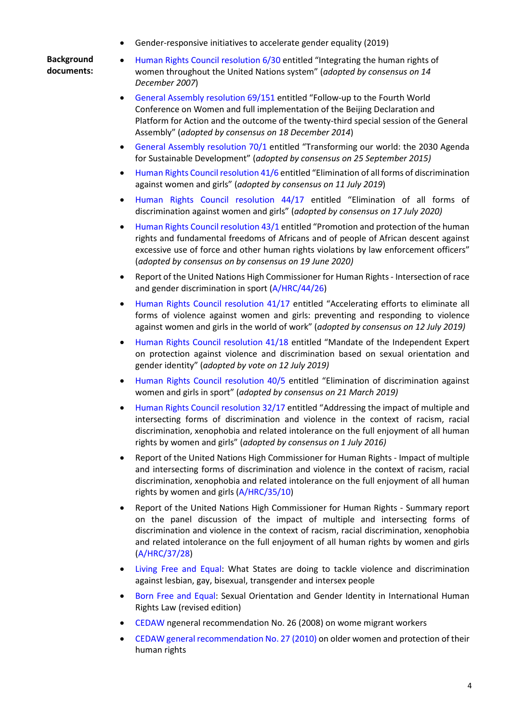• Gender-responsive initiatives to accelerate gender equality (2019)

**Background documents:**

- [Human Rights Council resolution 6/30](http://ap.ohchr.org/Documents/E/HRC/resolutions/A_HRC_RES_6_30.pdf) entitled "Integrating the human rights of women throughout the United Nations system" (*adopted by consensus on 14 December 2007*)
- [General Assembly resolution 69/151](https://undocs.org/A/RES/69/151) entitled "Follow-up to the Fourth World Conference on Women and full implementation of the Beijing Declaration and Platform for Action and the outcome of the twenty-third special session of the General Assembly" (*adopted by consensus on 18 December 2014*)
- [General Assembly resolution 70/1](https://undocs.org/A/RES/70/1) entitled "Transforming our world: the 2030 Agenda for Sustainable Development" (*adopted by consensus on 25 September 2015)*
- [Human Rights Council resolution](https://undocs.org/A/HRC/RES/41/6) 41/6 entitled "Elimination of all forms of discrimination against women and girls" (*adopted by consensus on 11 July 2019*)
- [Human Rights Council resolution](https://undocs.org/A/HRC/RES/44/17) 44/17 entitled "Elimination of all forms of discrimination against women and girls" (*adopted by consensus on 17 July 2020)*
- [Human Rights Council resolution 43/1](https://undocs.org/A/HRC/RES/43/1) entitled "Promotion and protection of the human rights and fundamental freedoms of Africans and of people of African descent against excessive use of force and other human rights violations by law enforcement officers" (*adopted by consensus on by consensus on 19 June 2020)*
- Report of the United Nations High Commissioner for Human Rights Intersection of race and gender discrimination in sport [\(A/HRC/44/26\)](https://undocs.org/A/HRC/44/26)
- [Human Rights Council resolution 41/17](https://undocs.org/A/HRC/RES/41/17) entitled "Accelerating efforts to eliminate all forms of violence against women and girls: preventing and responding to violence against women and girls in the world of work" (*adopted by consensus on 12 July 2019)*
- [Human Rights Council resolution 41/18](https://undocs.org/A/HRC/RES/41/18) entitled "Mandate of the Independent Expert on protection against violence and discrimination based on sexual orientation and gender identity" (*adopted by vote on 12 July 2019)*
- [Human Rights Council resolution 40/5](https://undocs.org/A/HRC/RES/40/5) entitled "Elimination of discrimination against women and girls in sport" (*adopted by consensus on 21 March 2019)*
- [Human Rights Council resolution 32/17](https://undocs.org/A/HRC/RES/32/17) entitled "Addressing the impact of multiple and intersecting forms of discrimination and violence in the context of racism, racial discrimination, xenophobia and related intolerance on the full enjoyment of all human rights by women and girls" (*adopted by consensus on 1 July 2016)*
- Report of the United Nations High Commissioner for Human Rights Impact of multiple and intersecting forms of discrimination and violence in the context of racism, racial discrimination, xenophobia and related intolerance on the full enjoyment of all human rights by women and girls [\(A/HRC/35/10\)](https://undocs.org/A/HRC/35/10)
- Report of the United Nations High Commissioner for Human Rights Summary report on the panel discussion of the impact of multiple and intersecting forms of discrimination and violence in the context of racism, racial discrimination, xenophobia and related intolerance on the full enjoyment of all human rights by women and girls [\(A/HRC/37/28\)](https://undocs.org/A/HRC/37/28)
- [Living Free and Equal: What States are doing to tackle violence and discrimination](https://www.ohchr.org/EN/Issues/Discrimination/Pages/LivingFreeEqual.aspx)  [against lesbian, gay, bisexual, transgender and intersex people](https://www.ohchr.org/EN/Issues/Discrimination/Pages/LivingFreeEqual.aspx)
- [Born Free and Equal: Sexual Orientation and Gender Identity in International Human](https://www.ohchr.org/EN/Issues/Discrimination/Pages/LivingFreeEqual.aspx)  Rights Law [\(revised edition\)](https://www.ohchr.org/EN/Issues/Discrimination/Pages/LivingFreeEqual.aspx)
- [CEDAW ngeneral recommendation No. 26 \(2008\) on wome](https://tbinternet.ohchr.org/_layouts/15/treatybodyexternal/Download.aspx?symbolno=CEDAW/C/2009/WP.1/R&Lang=en) migrant workers
- [CEDAW general recommendation No. 27 \(2010\)](https://undocs.org/CEDAW/C/GC/27) on older women and protection of their [human rights](https://undocs.org/CEDAW/C/GC/27)